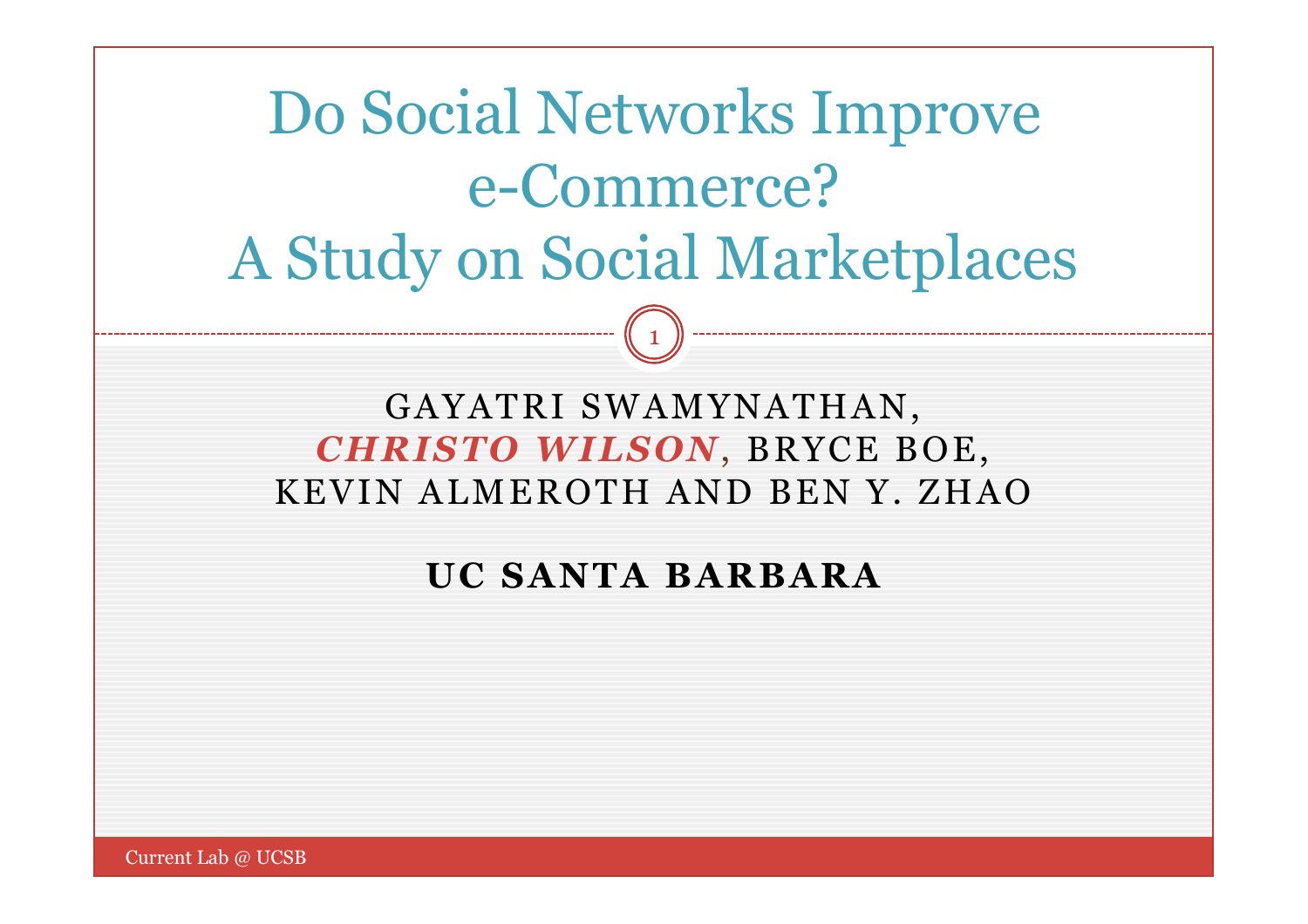# Do Social Networks Improve e-Commerce? A Study on Social Marketplaces

#### GAYATRI SWAMYNATHAN, *CHRISTO WILSON*, BRYCE BOE, KEVIN ALMEROTH AND BEN Y. ZHAO

1

#### **UC SANTA BARBARA**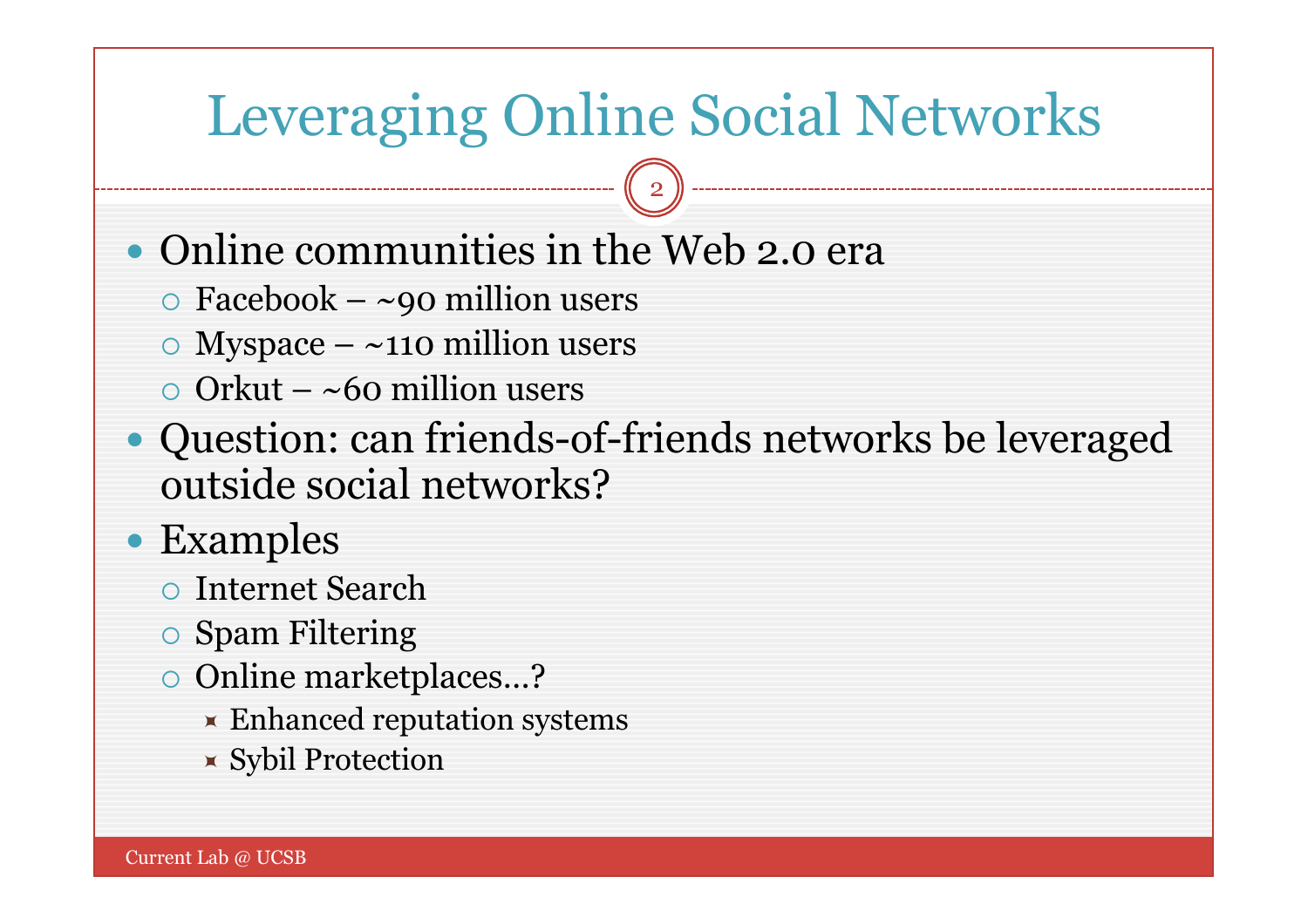## Leveraging Online Social Networks

- Online communities in the Web 2.0 era
	- $\circ$  Facebook ~90 million users
	- $\circ$  Myspace ~110 million users
	- $\circ$  Orkut ~60 million users
- Question: can friends-of-friends networks be leveraged outside social networks?
- Examples
	- Internet Search
	- Spam Filtering
	- Online marketplaces…?
		- **Enhanced reputation systems**
		- Sybil Protection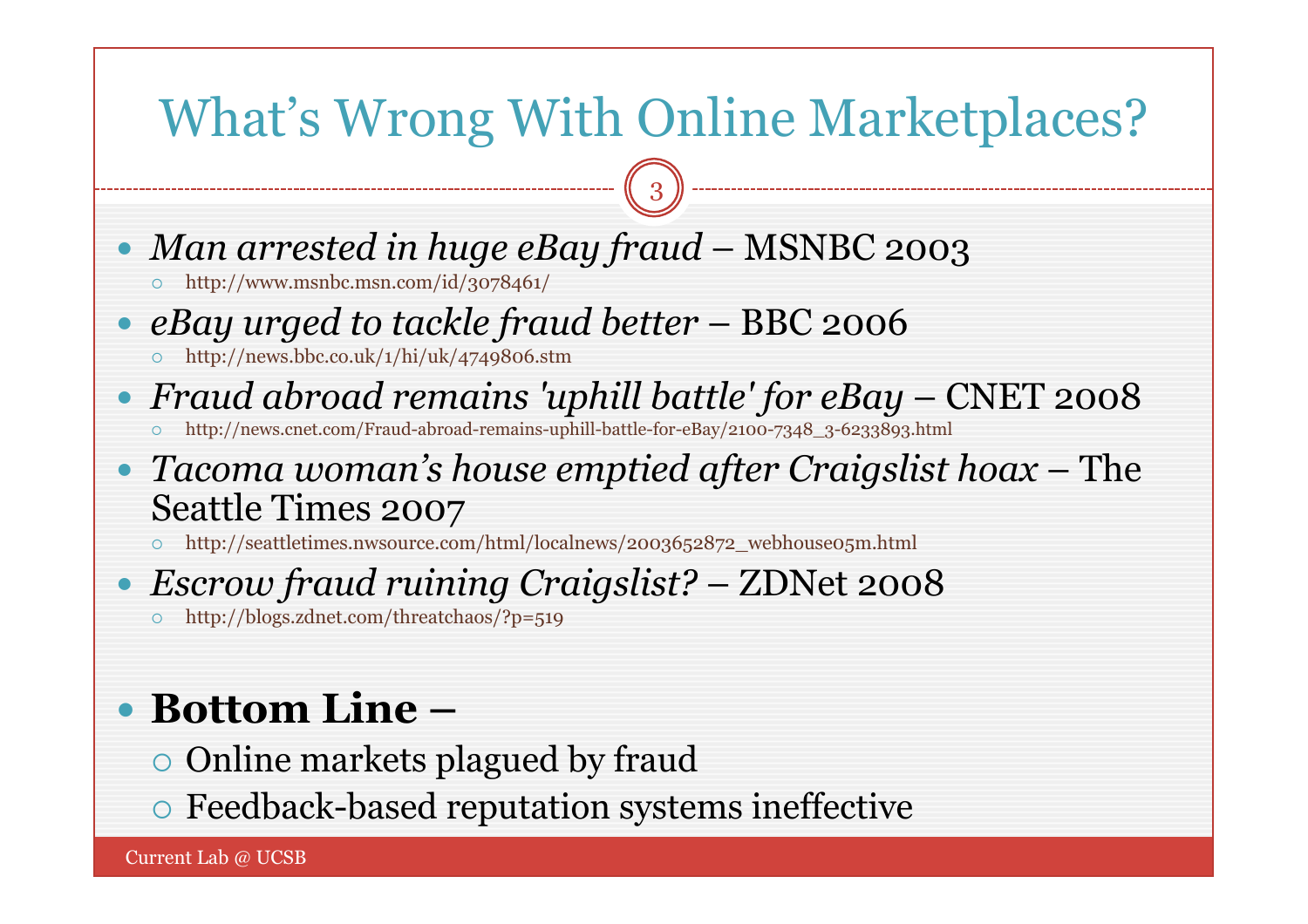### What's Wrong With Online Marketplaces?

3

- *Man arrested in huge eBay fraud* MSNBC 2003
	- http://www.msnbc.msn.com/id/3078461/
- *eBay urged to tackle fraud better*  BBC 2006
	- $\circ$  http://news.bbc.co.uk/1/hi/uk/4749806.stm
- *Fraud abroad remains 'uphill battle' for eBay*  CNET 2008
	- http://news.cnet.com/Fraud-abroad-remains-uphill-battle-for-eBay/2100-7348\_3-6233893.html
- *Tacoma woman's house emptied after Craigslist hoax*  The Seattle Times 2007
	- http://seattletimes.nwsource.com/html/localnews/2003652872\_webhouse05m.html

#### *Escrow fraud ruining Craigslist?* – ZDNet 2008

http://blogs.zdnet.com/threatchaos/?p=519

### **Bottom Line –**

- Online markets plagued by fraud
- Feedback-based reputation systems ineffective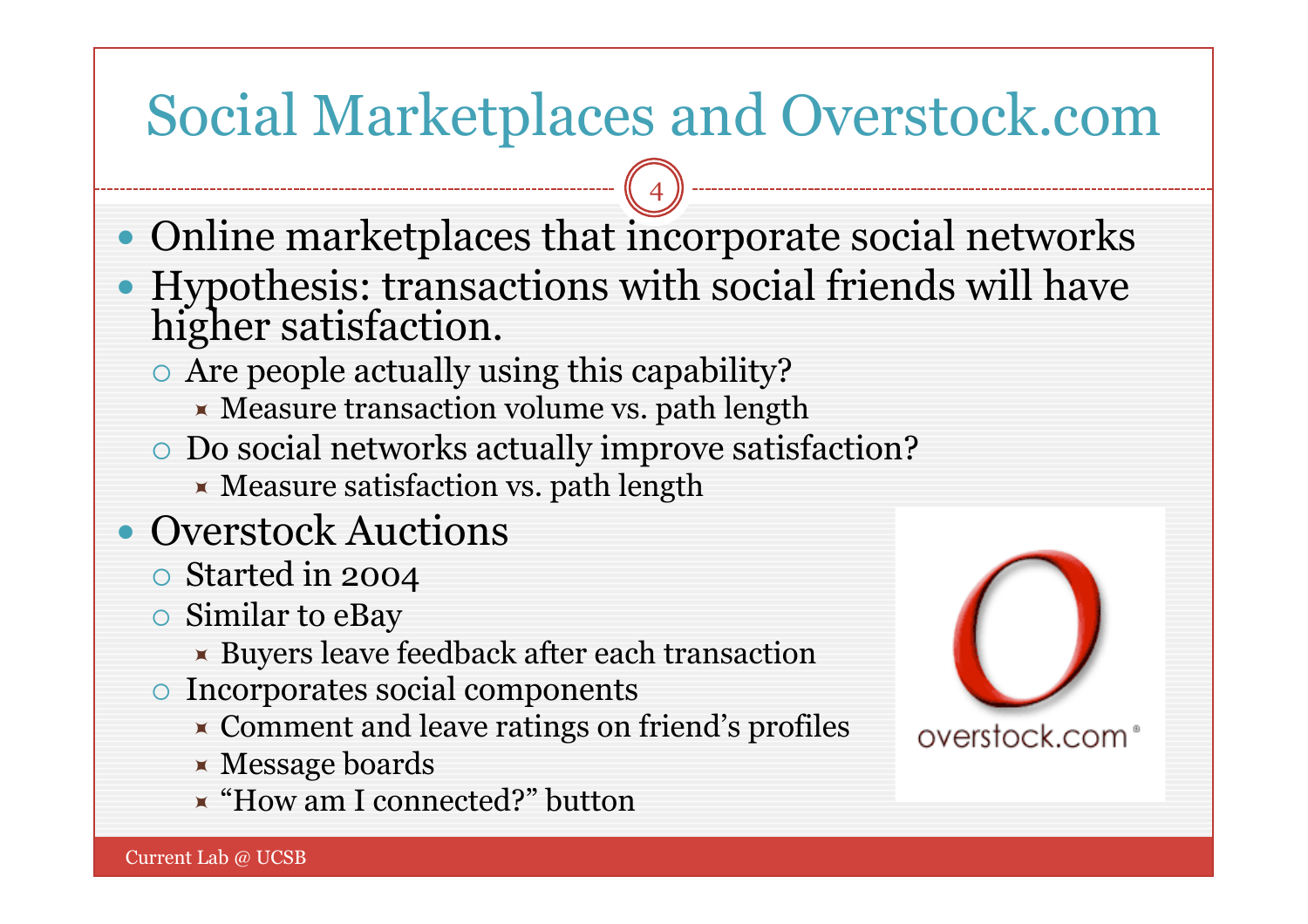## Social Marketplaces and Overstock.com

- Online marketplaces that incorporate social networks
- Hypothesis: transactions with social friends will have higher satisfaction.
	- Are people actually using this capability?
		- $\blacktriangleright$  Measure transaction volume vs. path length
	- Do social networks actually improve satisfaction?
		- $\times$  Measure satisfaction vs. path length
- Overstock Auctions
	- Started in 2004
	- Similar to eBay
		- Buyers leave feedback after each transaction
	- Incorporates social components
		- **EX** Comment and leave ratings on friend's profiles
		- $\times$  Message boards
		- "How am I connected?" button

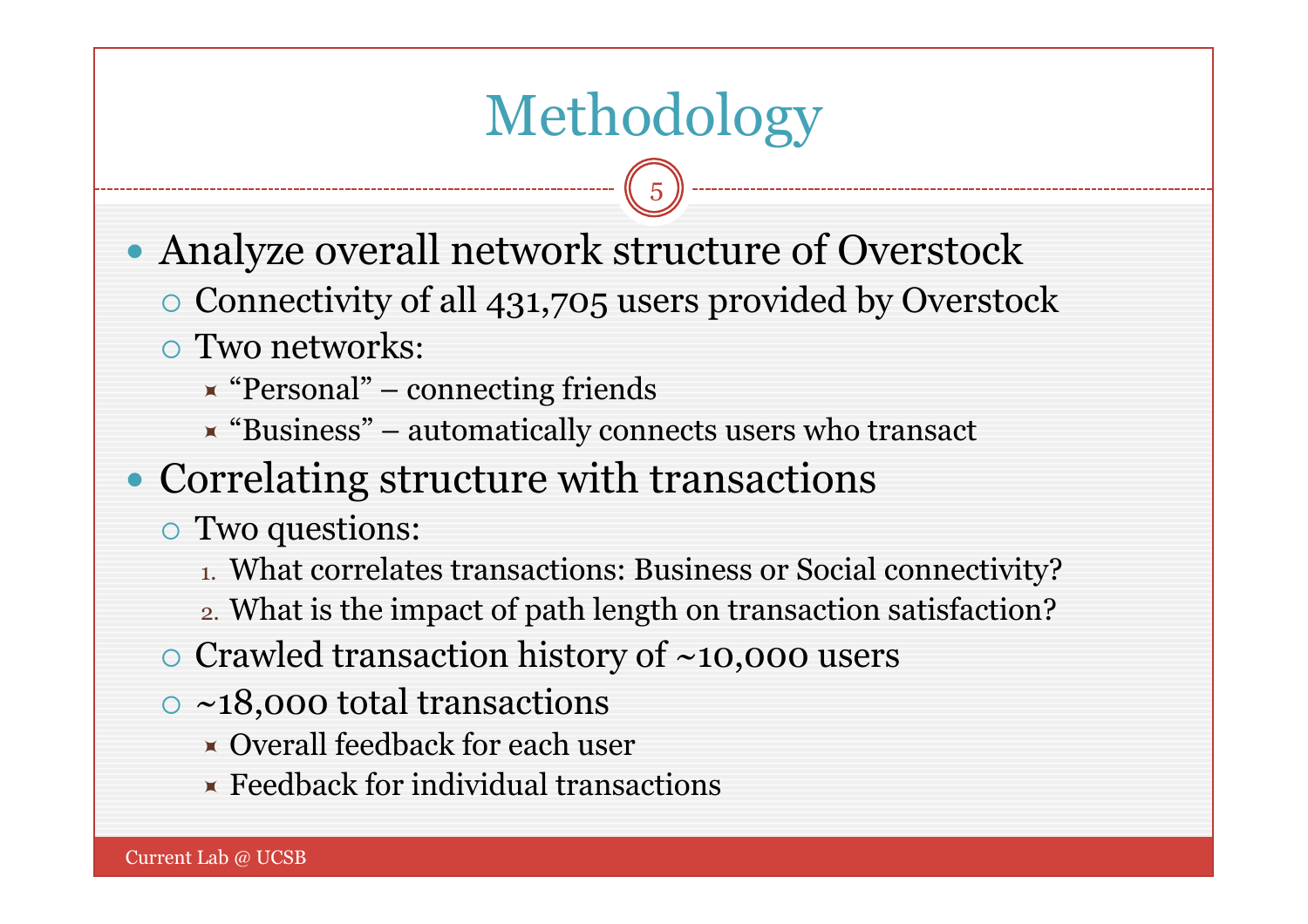## Methodology

5

- Analyze overall network structure of Overstock
	- Connectivity of all 431,705 users provided by Overstock
	- Two networks:
		- $\star$  "Personal" connecting friends
		- $\blacktriangleright$  "Business" automatically connects users who transact

#### • Correlating structure with transactions

- Two questions:
	- 1. What correlates transactions: Business or Social connectivity?
	- 2. What is the impact of path length on transaction satisfaction?
- $\circ$  Crawled transaction history of  $\sim$ 10,000 users
- $\circ$  ~18,000 total transactions
	- Overall feedback for each user
	- $\times$  Feedback for individual transactions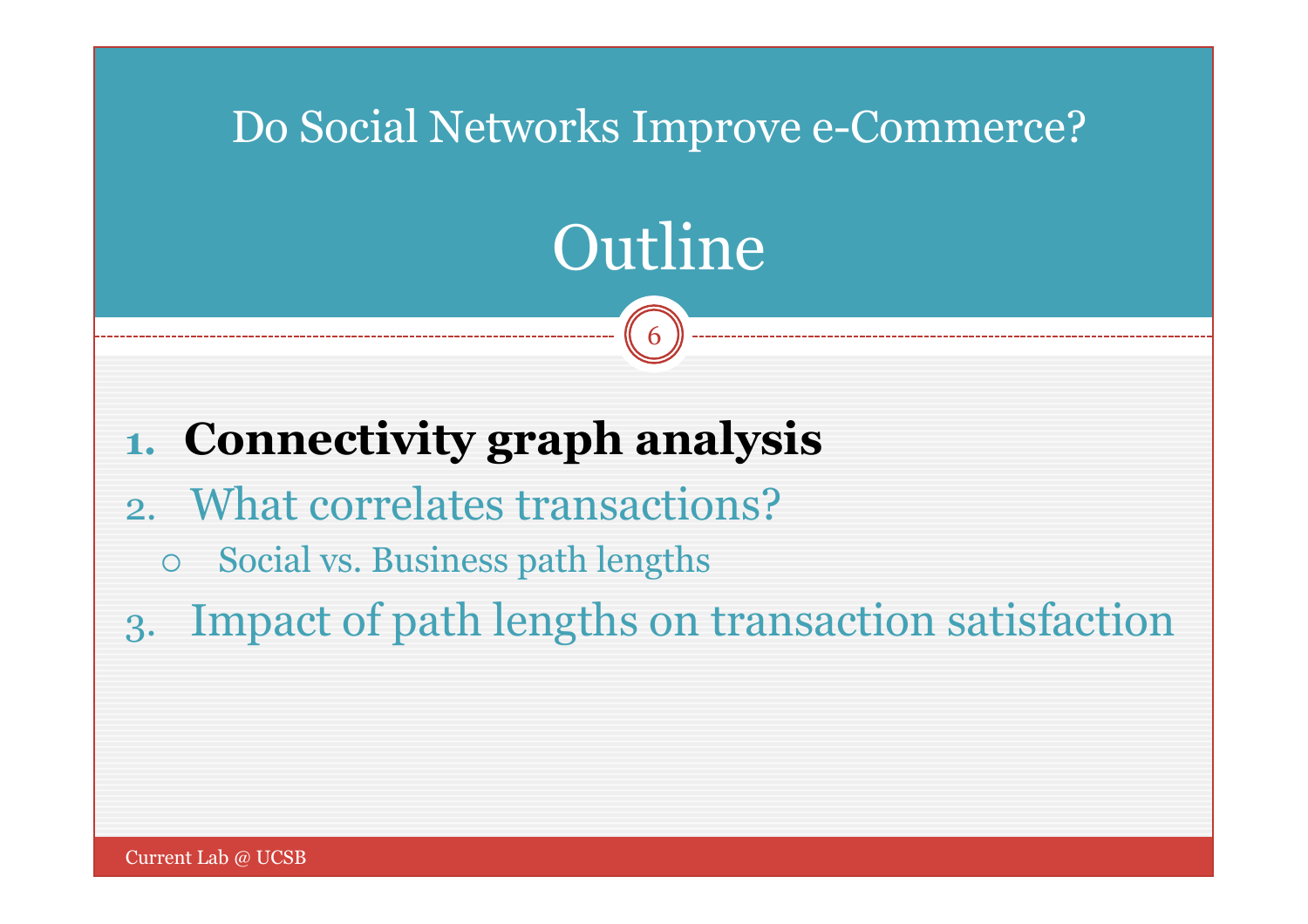### Do Social Networks Improve e-Commerce?

# Outline

6

### **1. Connectivity graph analysis**

- 2. What correlates transactions?
	- Social vs. Business path lengths
- 3. Impact of path lengths on transaction satisfaction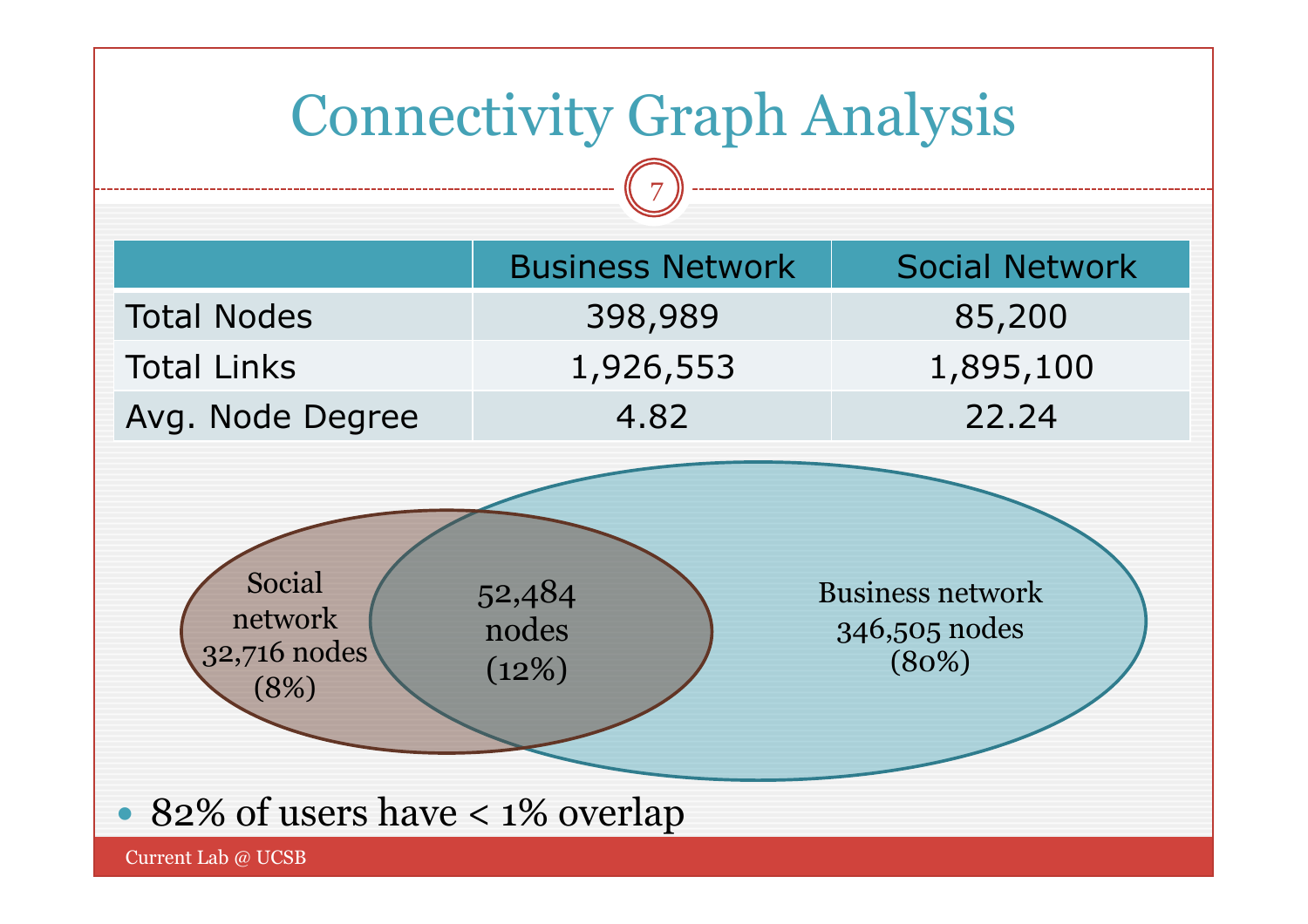## Connectivity Graph Analysis

7

|                    | <b>Business Network</b> | <b>Social Network</b> |
|--------------------|-------------------------|-----------------------|
| <b>Total Nodes</b> | 398,989                 | 85,200                |
| <b>Total Links</b> | 1,926,553               | 1,895,100             |
| Avg. Node Degree   | 4.82                    | 22.24                 |



• 82% of users have < 1% overlap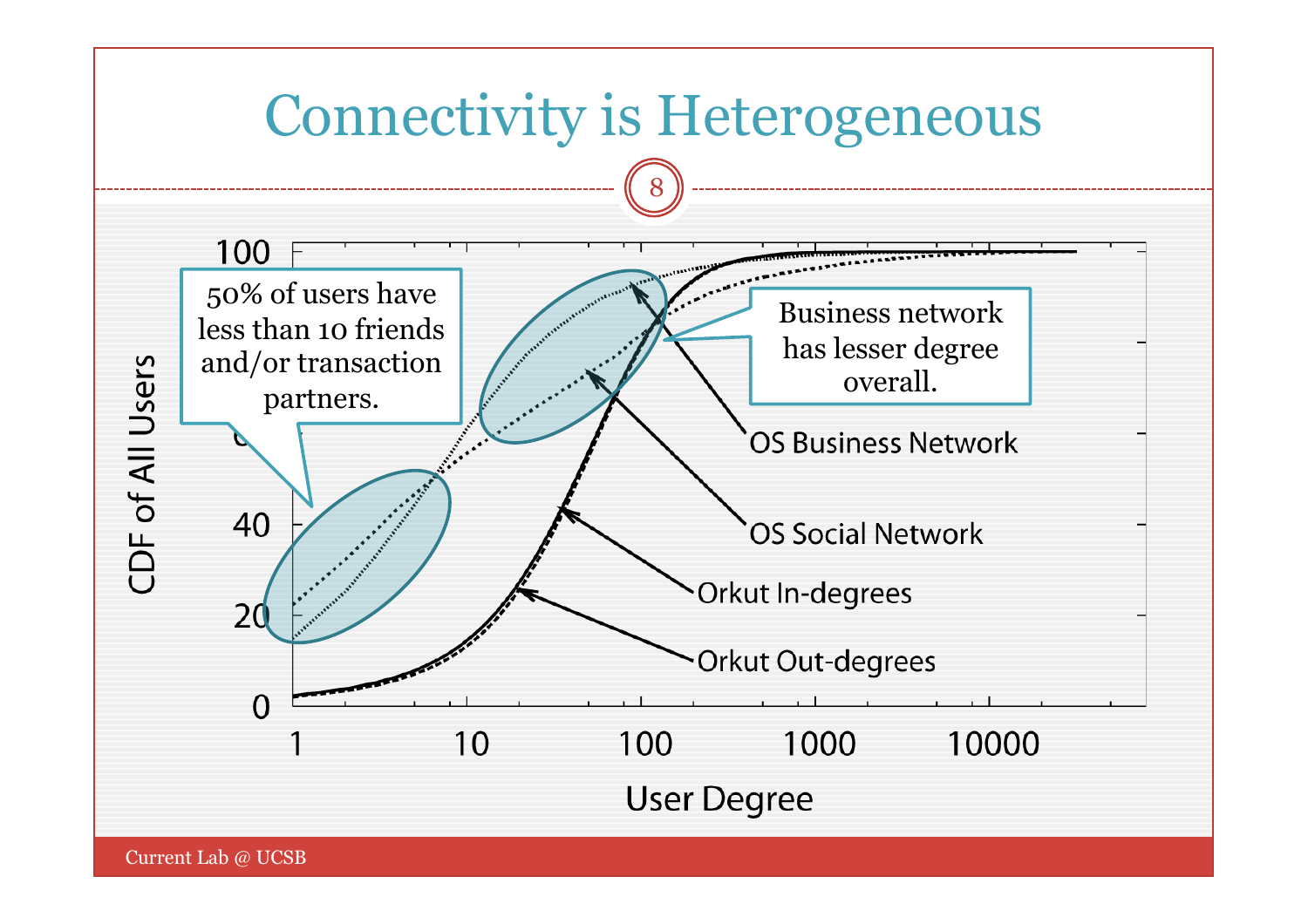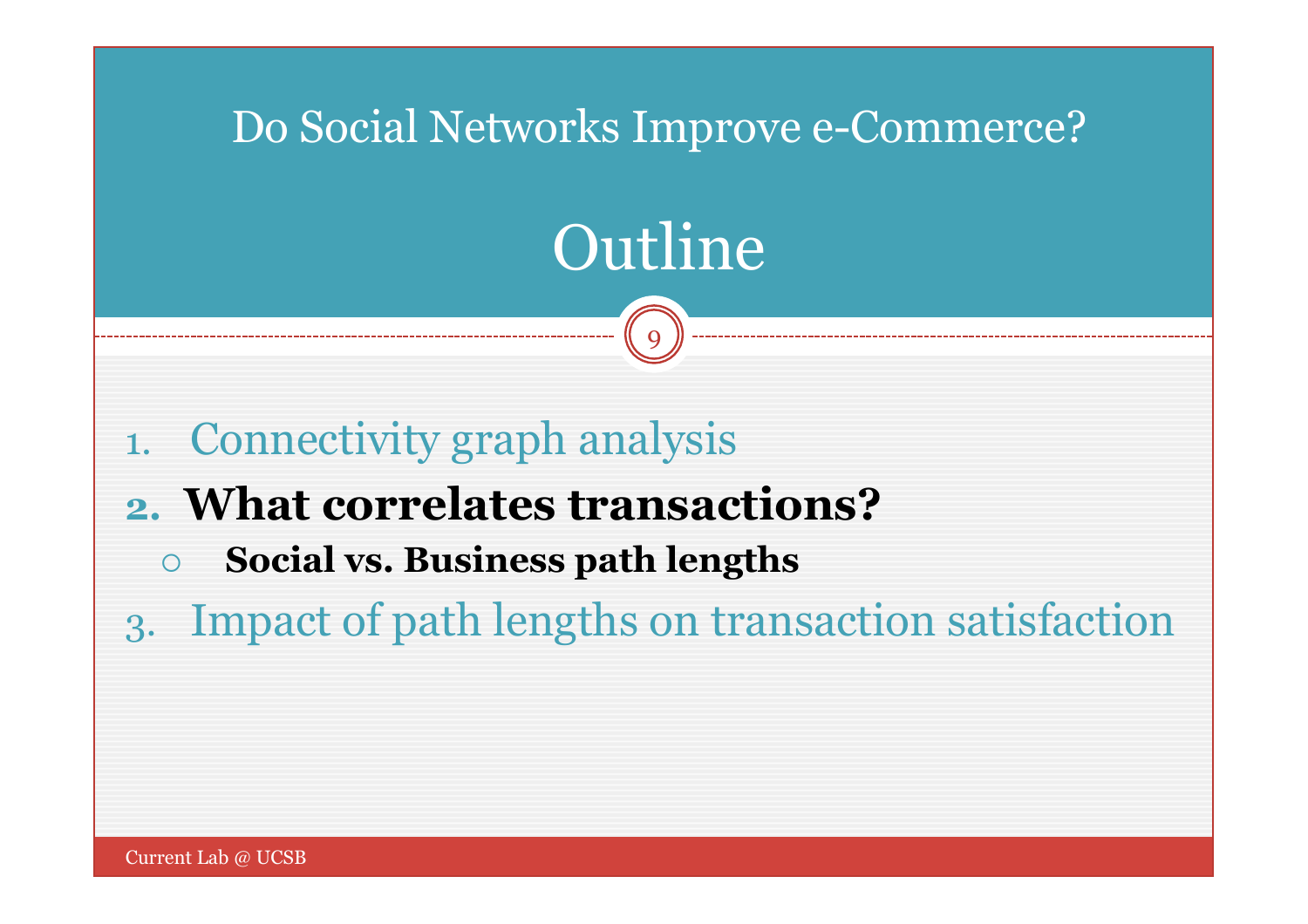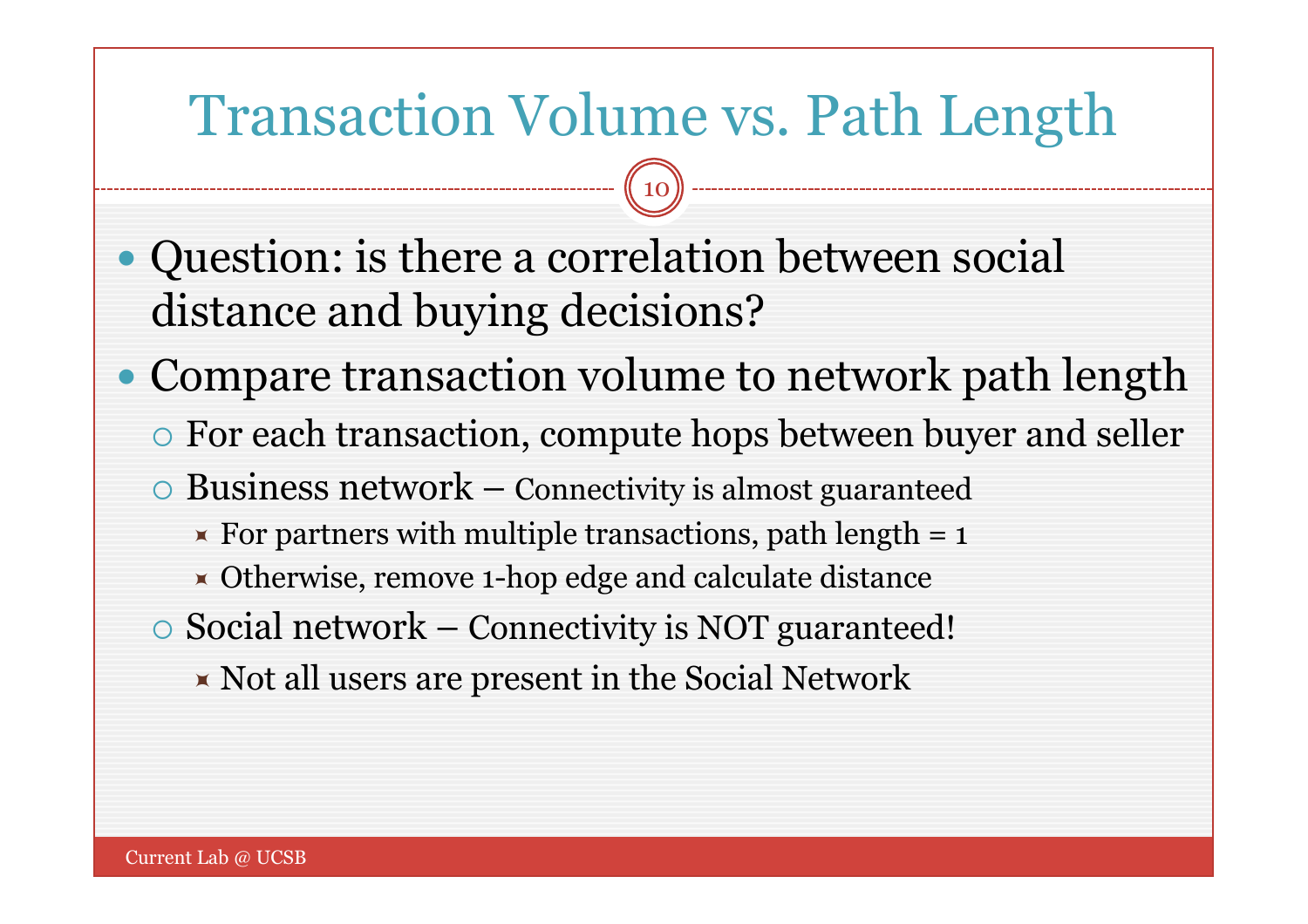### Transaction Volume vs. Path Length

- Question: is there a correlation between social distance and buying decisions?
- Compare transaction volume to network path length
	- For each transaction, compute hops between buyer and seller
	- $\circ$  Business network Connectivity is almost guaranteed
		- For partners with multiple transactions, path length  $= 1$
		- Otherwise, remove 1-hop edge and calculate distance
	- $\circ$  Social network Connectivity is NOT guaranteed!
		- $\blacktriangleright$  Not all users are present in the Social Network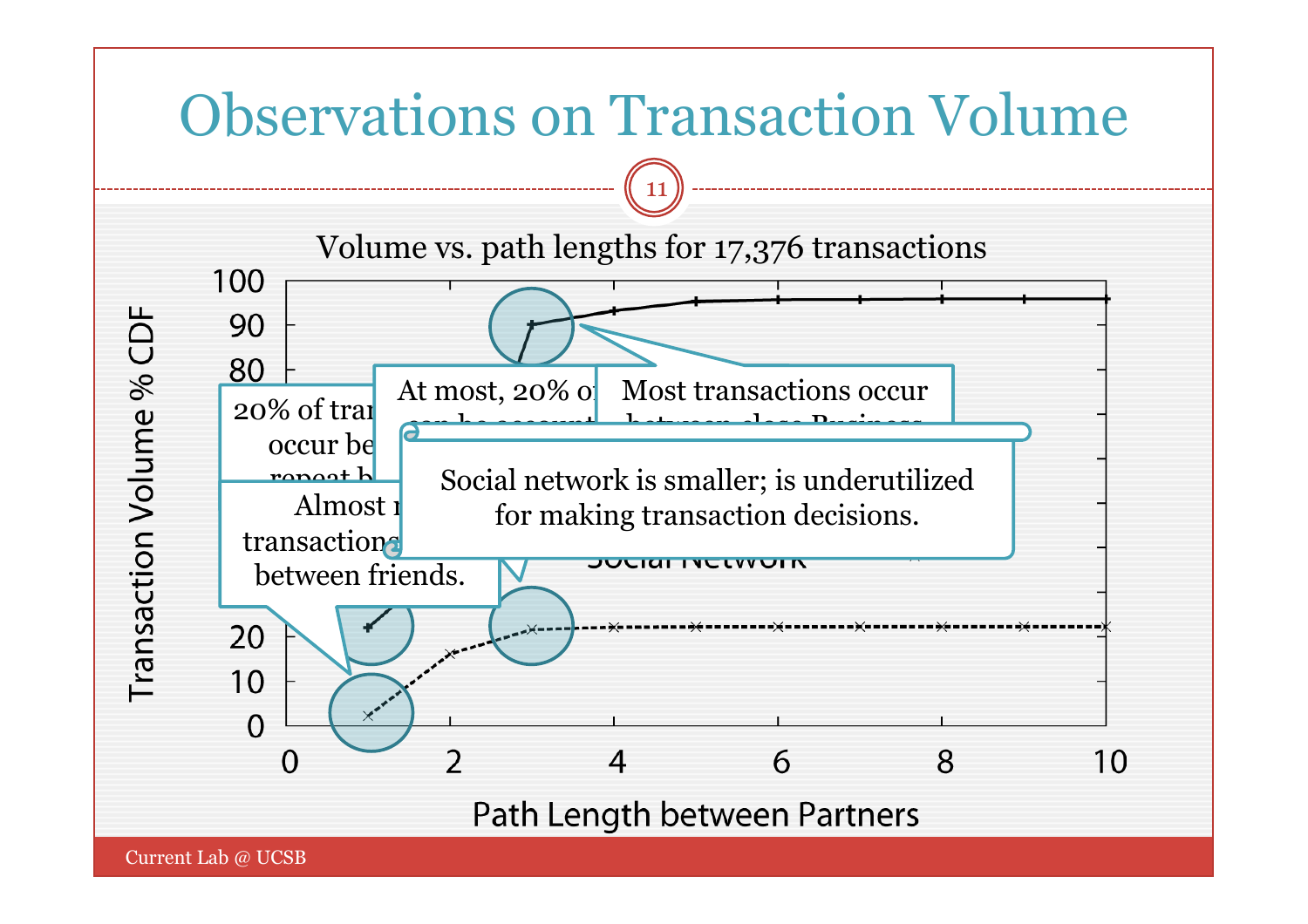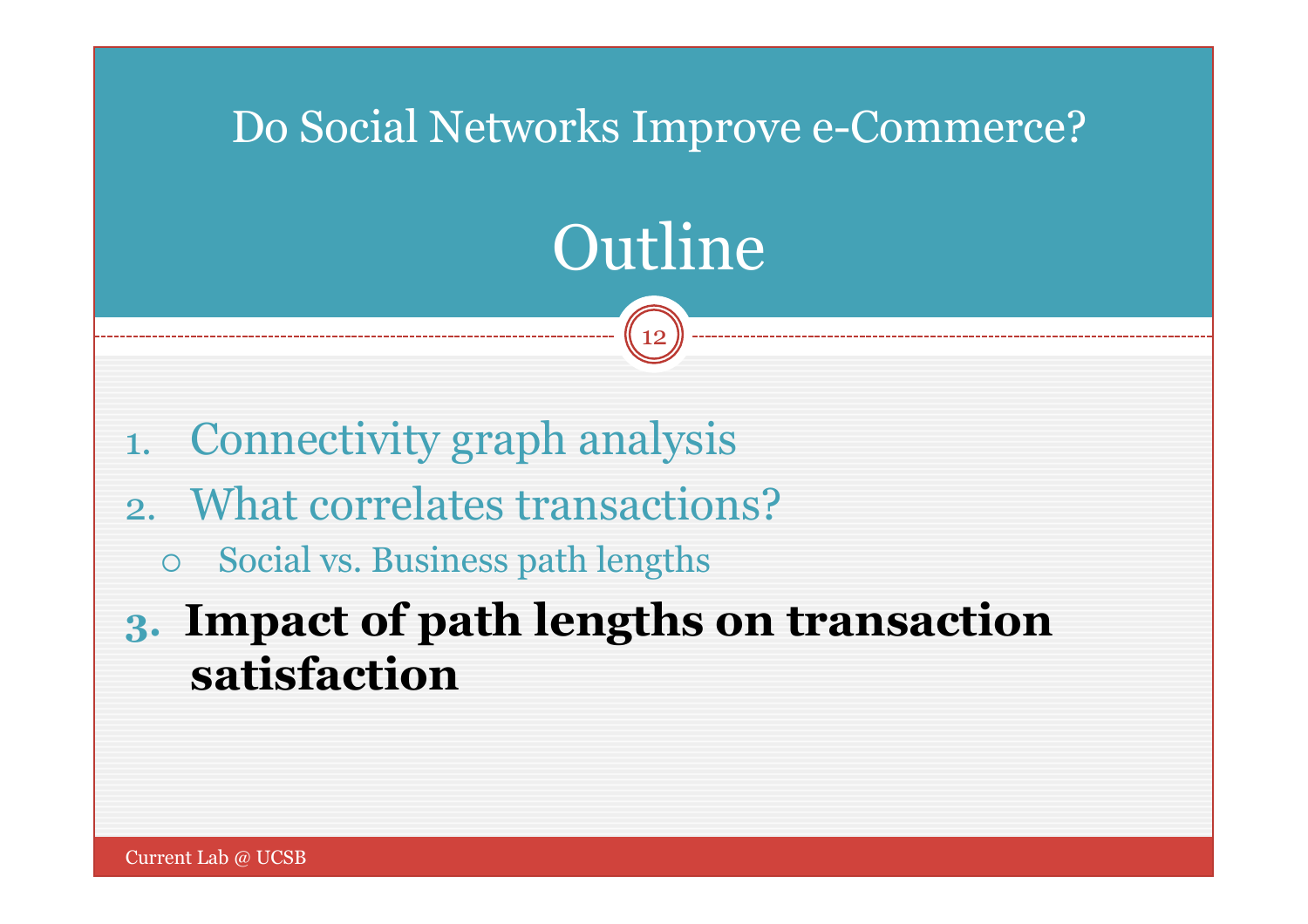### Do Social Networks Improve e-Commerce?

# Outline

- 1. Connectivity graph analysis
- 2. What correlates transactions?
	- Social vs. Business path lengths
- **3. Impact of path lengths on transaction satisfaction**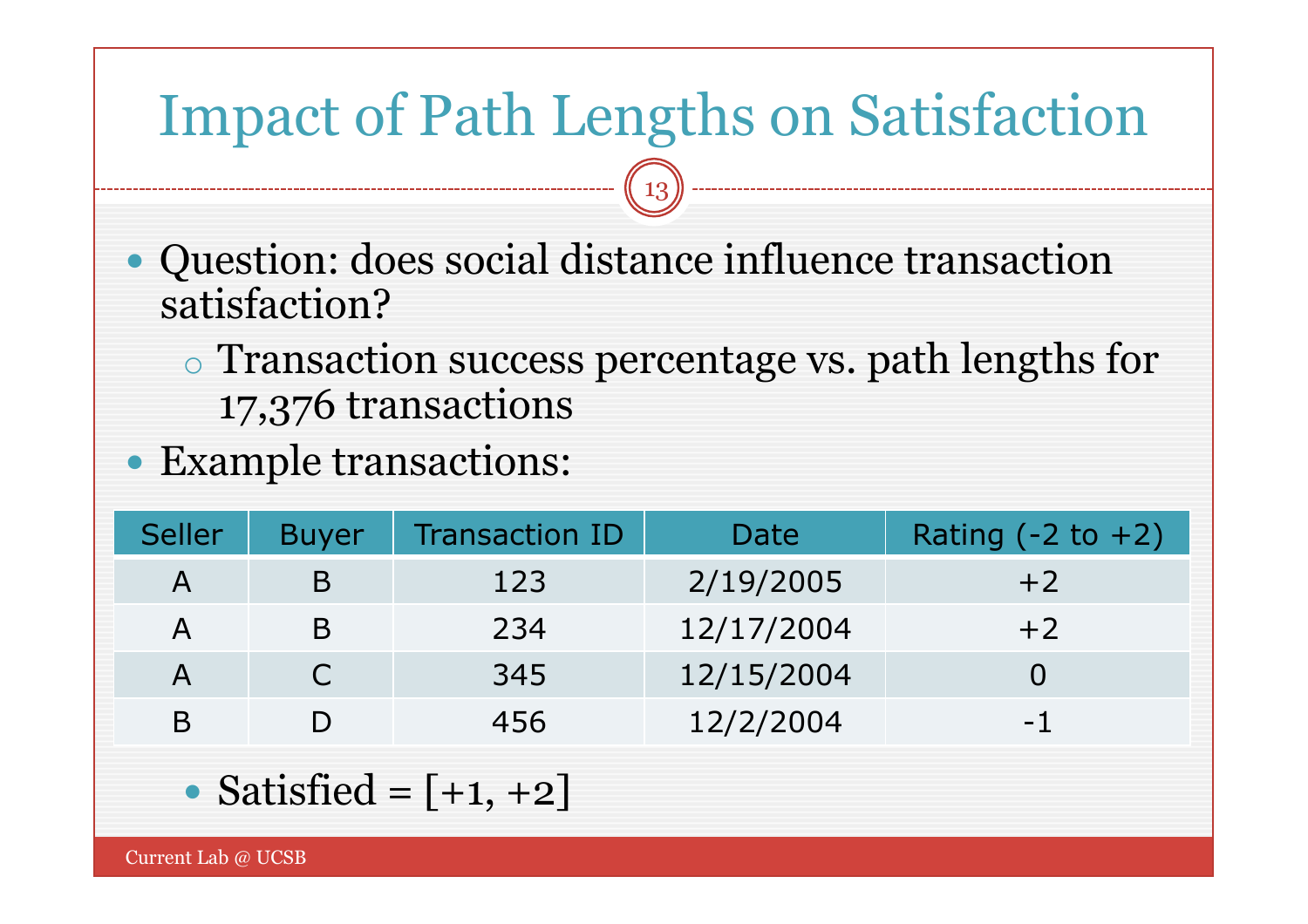## Impact of Path Lengths on Satisfaction

- Question: does social distance influence transaction satisfaction?
	- o Transaction success percentage vs. path lengths for 17,376 transactions
- Example transactions:

| <b>Seller</b> | <b>Buyer</b> | <b>Transaction ID</b> | Date       | Rating $(-2 \text{ to } +2)$ |
|---------------|--------------|-----------------------|------------|------------------------------|
| $\mathsf{A}$  | B            | 123                   | 2/19/2005  | $+2$                         |
| $\mathsf{A}$  | B            | 234                   | 12/17/2004 | $+2$                         |
| $\mathsf{A}$  | $\bigcap$    | 345                   | 12/15/2004 |                              |
| B             |              | 456                   | 12/2/2004  | $-1$                         |

• Satisfied = 
$$
[-1, +2]
$$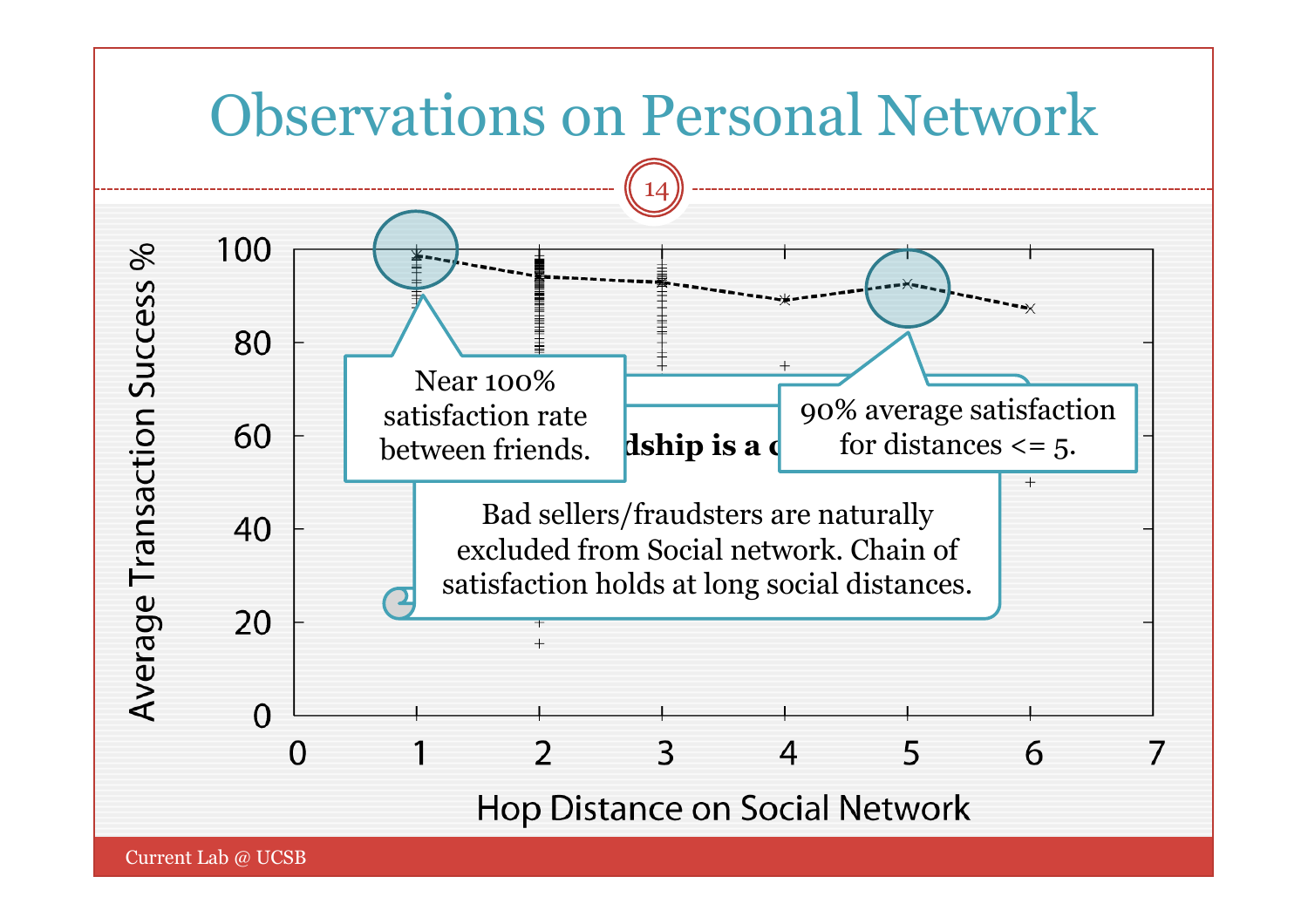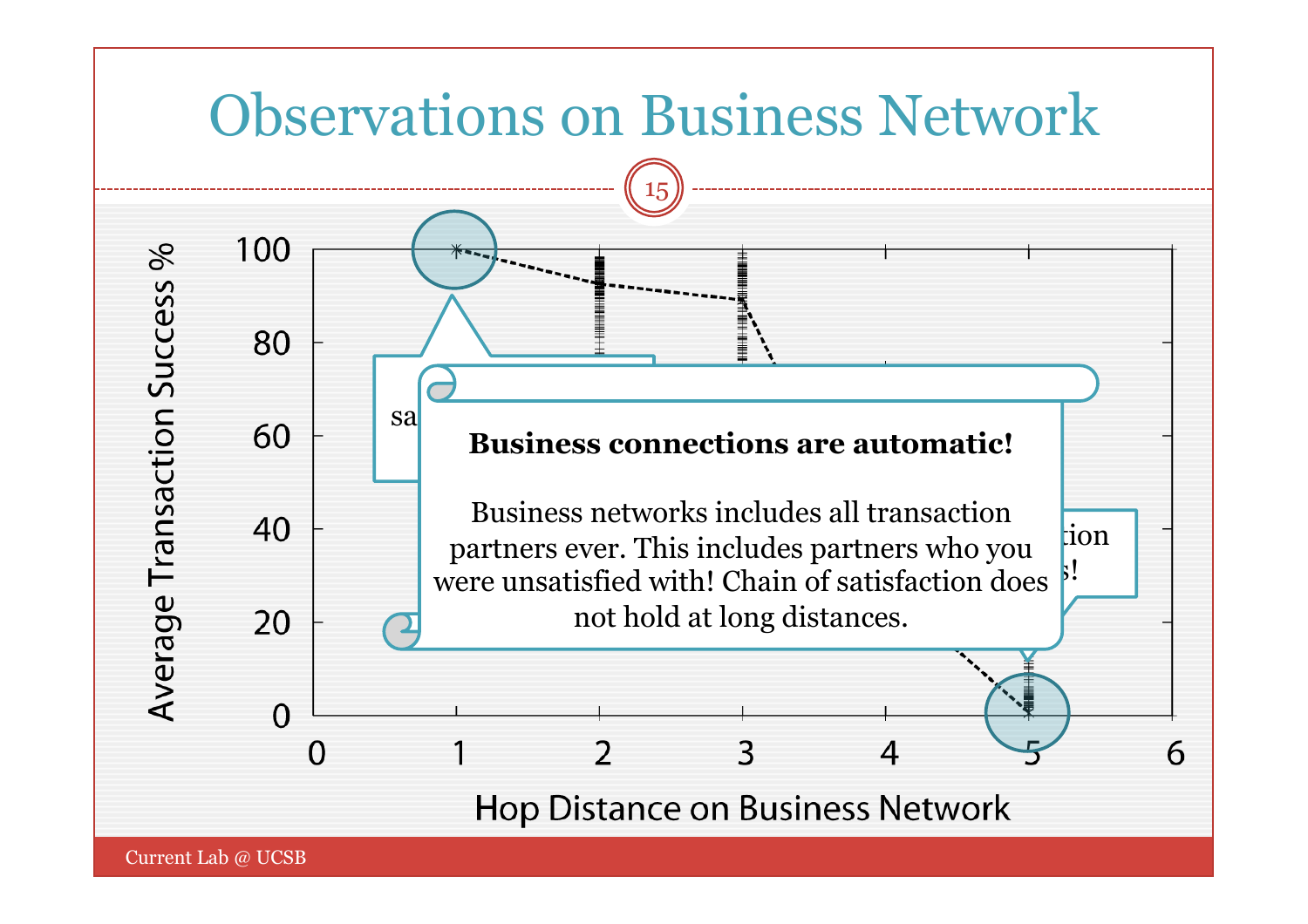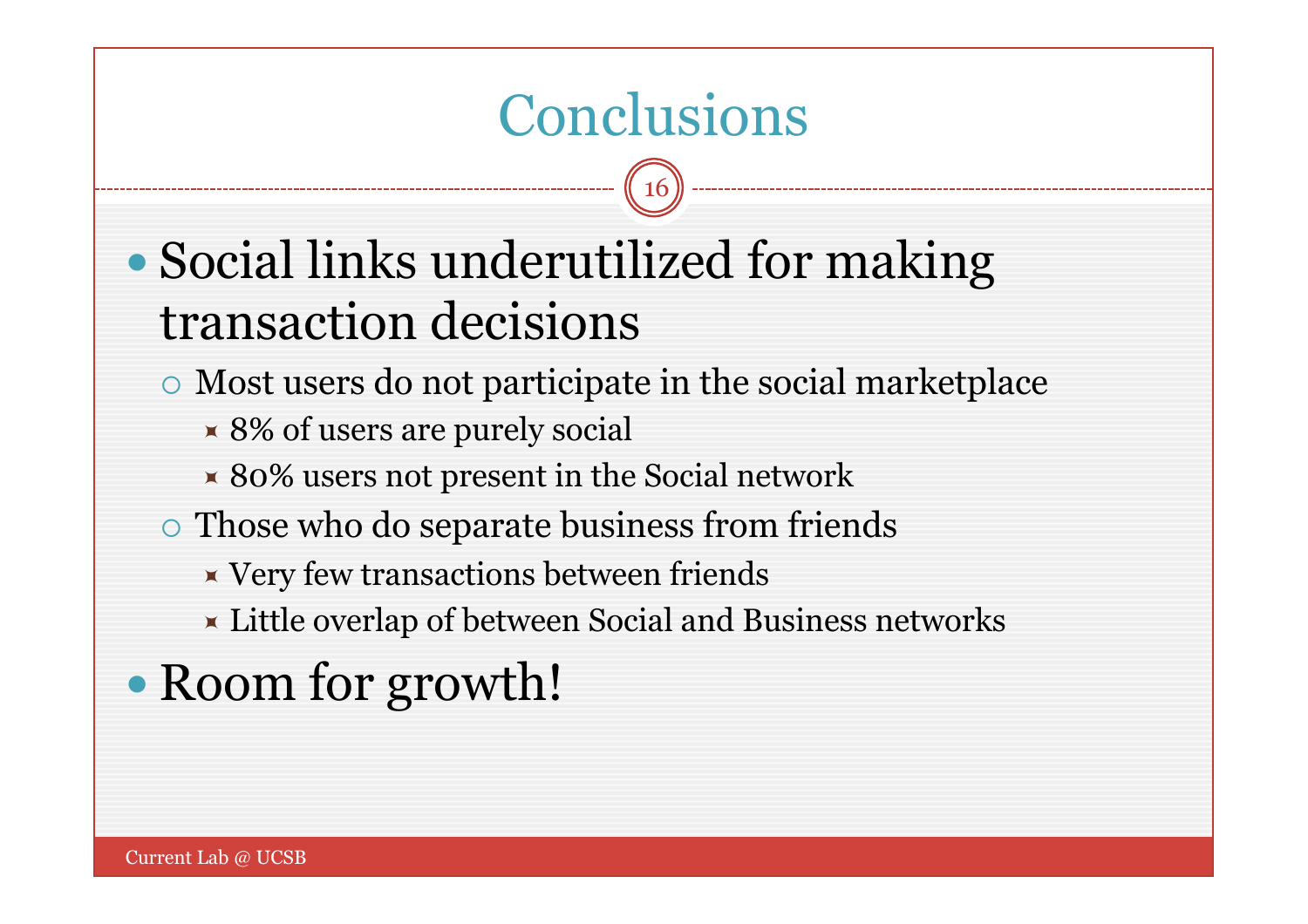### Conclusions

- Social links underutilized for making transaction decisions
	- Most users do not participate in the social marketplace
		- 8% of users are purely social
		- $\times$  80% users not present in the Social network
	- $\circ$  Those who do separate business from friends
		- $\blacktriangleright$  Very few transactions between friends
		- **Example 2** Little overlap of between Social and Business networks
- Room for growth!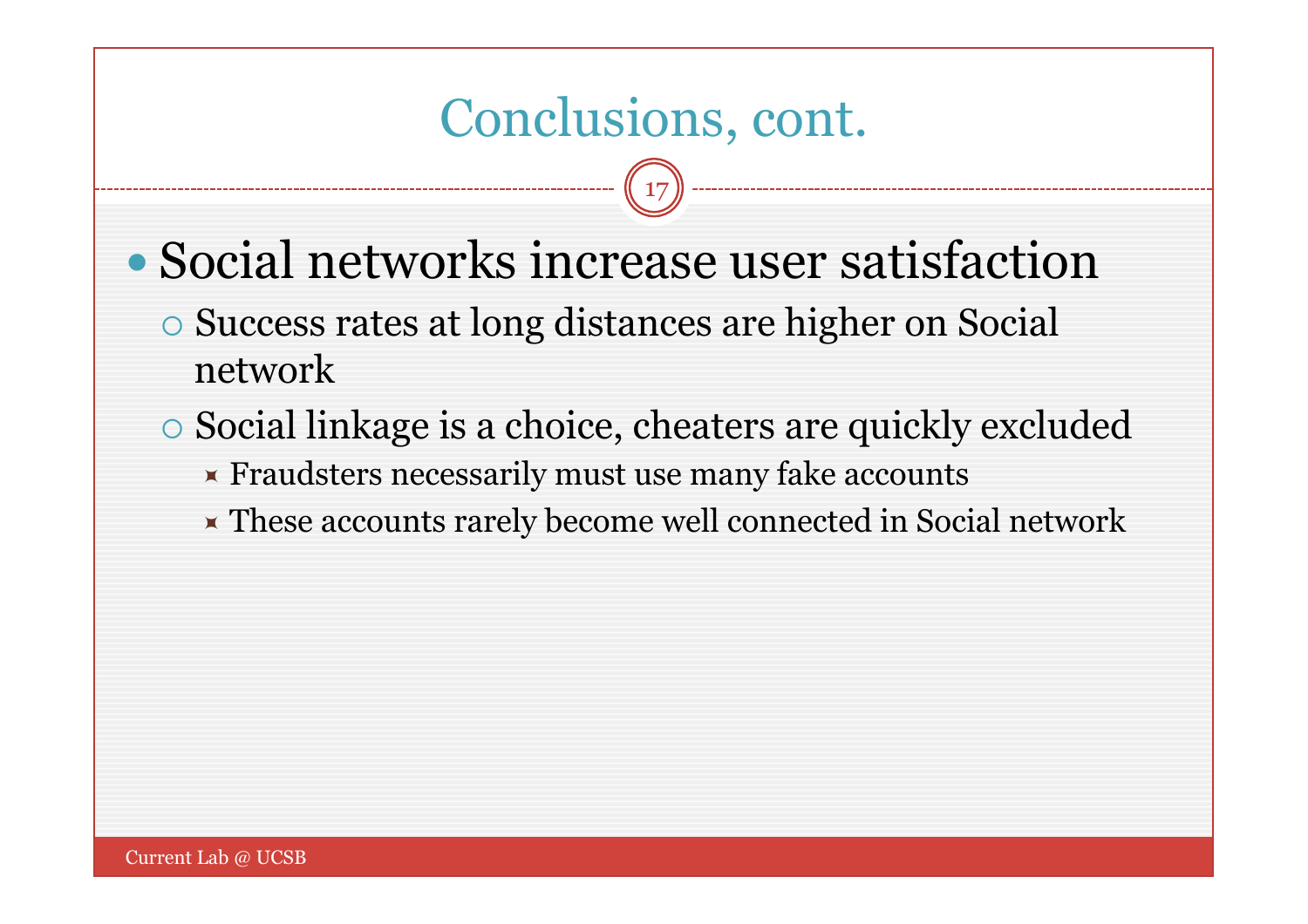### Conclusions, cont.

- Social networks increase user satisfaction
	- Success rates at long distances are higher on Social network
	- Social linkage is a choice, cheaters are quickly excluded
		- **Fraudsters necessarily must use many fake accounts**
		- These accounts rarely become well connected in Social network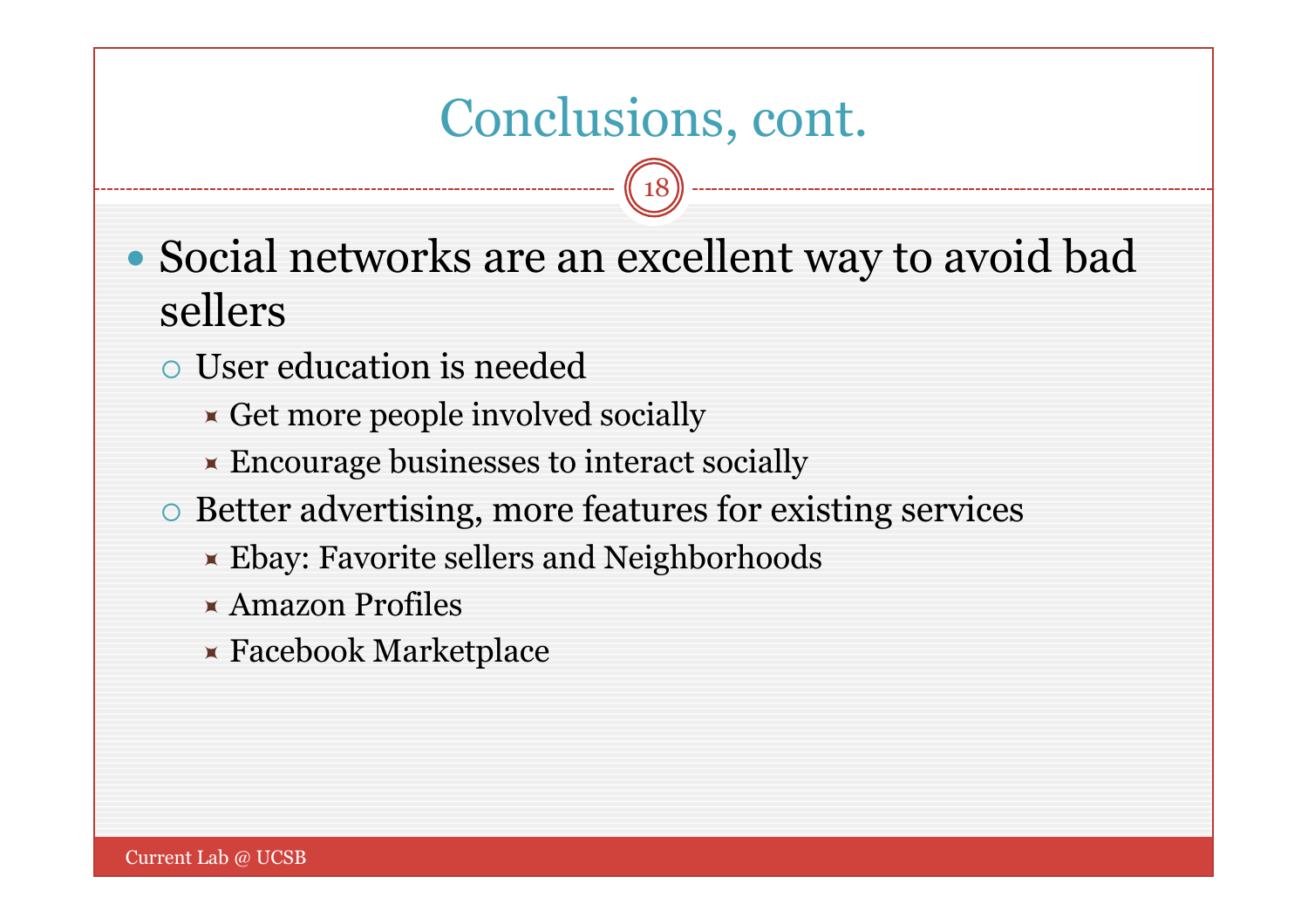### Conclusions, cont.

- Social networks are an excellent way to avoid bad sellers
	- User education is needed
		- $\star$  Get more people involved socially
		- **Encourage businesses to interact socially**
	- Better advertising, more features for existing services
		- **Ebay: Favorite sellers and Neighborhoods**
		- Amazon Profiles
		- Facebook Marketplace